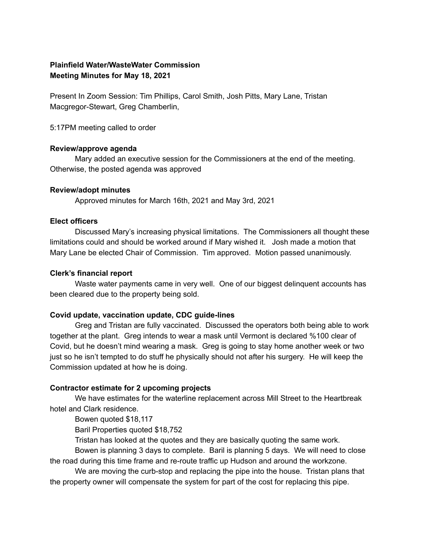# **Plainfield Water/WasteWater Commission Meeting Minutes for May 18, 2021**

Present In Zoom Session: Tim Phillips, Carol Smith, Josh Pitts, Mary Lane, Tristan Macgregor-Stewart, Greg Chamberlin,

5:17PM meeting called to order

### **Review/approve agenda**

Mary added an executive session for the Commissioners at the end of the meeting. Otherwise, the posted agenda was approved

### **Review/adopt minutes**

Approved minutes for March 16th, 2021 and May 3rd, 2021

### **Elect officers**

Discussed Mary's increasing physical limitations. The Commissioners all thought these limitations could and should be worked around if Mary wished it. Josh made a motion that Mary Lane be elected Chair of Commission. Tim approved. Motion passed unanimously.

### **Clerk's financial report**

Waste water payments came in very well. One of our biggest delinquent accounts has been cleared due to the property being sold.

## **Covid update, vaccination update, CDC guide-lines**

Greg and Tristan are fully vaccinated. Discussed the operators both being able to work together at the plant. Greg intends to wear a mask until Vermont is declared %100 clear of Covid, but he doesn't mind wearing a mask. Greg is going to stay home another week or two just so he isn't tempted to do stuff he physically should not after his surgery. He will keep the Commission updated at how he is doing.

## **Contractor estimate for 2 upcoming projects**

We have estimates for the waterline replacement across Mill Street to the Heartbreak hotel and Clark residence.

Bowen quoted \$18,117

Baril Properties quoted \$18,752

Tristan has looked at the quotes and they are basically quoting the same work.

Bowen is planning 3 days to complete. Baril is planning 5 days. We will need to close the road during this time frame and re-route traffic up Hudson and around the workzone.

We are moving the curb-stop and replacing the pipe into the house. Tristan plans that the property owner will compensate the system for part of the cost for replacing this pipe.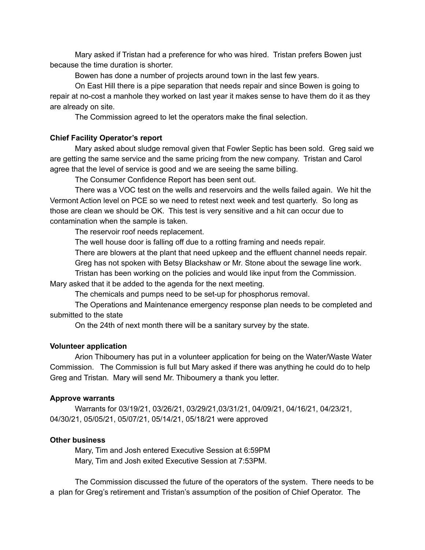Mary asked if Tristan had a preference for who was hired. Tristan prefers Bowen just because the time duration is shorter.

Bowen has done a number of projects around town in the last few years.

On East Hill there is a pipe separation that needs repair and since Bowen is going to repair at no-cost a manhole they worked on last year it makes sense to have them do it as they are already on site.

The Commission agreed to let the operators make the final selection.

## **Chief Facility Operator's report**

Mary asked about sludge removal given that Fowler Septic has been sold. Greg said we are getting the same service and the same pricing from the new company. Tristan and Carol agree that the level of service is good and we are seeing the same billing.

The Consumer Confidence Report has been sent out.

There was a VOC test on the wells and reservoirs and the wells failed again. We hit the Vermont Action level on PCE so we need to retest next week and test quarterly. So long as those are clean we should be OK. This test is very sensitive and a hit can occur due to contamination when the sample is taken.

The reservoir roof needs replacement.

The well house door is falling off due to a rotting framing and needs repair.

There are blowers at the plant that need upkeep and the effluent channel needs repair.

Greg has not spoken with Betsy Blackshaw or Mr. Stone about the sewage line work.

Tristan has been working on the policies and would like input from the Commission.

Mary asked that it be added to the agenda for the next meeting.

The chemicals and pumps need to be set-up for phosphorus removal.

The Operations and Maintenance emergency response plan needs to be completed and submitted to the state

On the 24th of next month there will be a sanitary survey by the state.

## **Volunteer application**

Arion Thiboumery has put in a volunteer application for being on the Water/Waste Water Commission. The Commission is full but Mary asked if there was anything he could do to help Greg and Tristan. Mary will send Mr. Thiboumery a thank you letter.

## **Approve warrants**

Warrants for 03/19/21, 03/26/21, 03/29/21,03/31/21, 04/09/21, 04/16/21, 04/23/21, 04/30/21, 05/05/21, 05/07/21, 05/14/21, 05/18/21 were approved

## **Other business**

Mary, Tim and Josh entered Executive Session at 6:59PM Mary, Tim and Josh exited Executive Session at 7:53PM.

The Commission discussed the future of the operators of the system. There needs to be a plan for Greg's retirement and Tristan's assumption of the position of Chief Operator. The